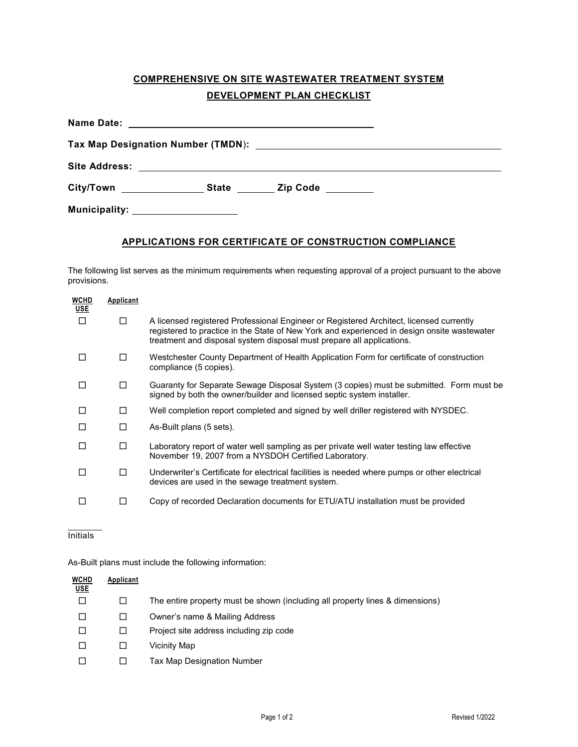# **COMPREHENSIVE ON SITE WASTEWATER TREATMENT SYSTEM DEVELOPMENT PLAN CHECKLIST**

## **APPLICATIONS FOR CERTIFICATE OF CONSTRUCTION COMPLIANCE**

The following list serves as the minimum requirements when requesting approval of a project pursuant to the above provisions.

| <b>WCHD</b><br><u>USE</u> | Applicant |                                                                                                                                                                                                                                                                 |
|---------------------------|-----------|-----------------------------------------------------------------------------------------------------------------------------------------------------------------------------------------------------------------------------------------------------------------|
| П                         | $\Box$    | A licensed registered Professional Engineer or Registered Architect, licensed currently<br>registered to practice in the State of New York and experienced in design onsite wastewater<br>treatment and disposal system disposal must prepare all applications. |
|                           | П         | Westchester County Department of Health Application Form for certificate of construction<br>compliance (5 copies).                                                                                                                                              |
|                           | п         | Guaranty for Separate Sewage Disposal System (3 copies) must be submitted. Form must be<br>signed by both the owner/builder and licensed septic system installer.                                                                                               |
|                           | П         | Well completion report completed and signed by well driller registered with NYSDEC.                                                                                                                                                                             |
|                           | п         | As-Built plans (5 sets).                                                                                                                                                                                                                                        |
|                           | П         | Laboratory report of water well sampling as per private well water testing law effective<br>November 19, 2007 from a NYSDOH Certified Laboratory.                                                                                                               |
|                           | п         | Underwriter's Certificate for electrical facilities is needed where pumps or other electrical<br>devices are used in the sewage treatment system.                                                                                                               |
|                           | П         | Copy of recorded Declaration documents for ETU/ATU installation must be provided                                                                                                                                                                                |

Initials

 $\overline{a}$ 

As-Built plans must include the following information:

| <b>WCHD</b><br>USE | Applicant    |                                                                               |
|--------------------|--------------|-------------------------------------------------------------------------------|
|                    |              | The entire property must be shown (including all property lines & dimensions) |
| $\mathsf{L}$       | $\mathsf{L}$ | Owner's name & Mailing Address                                                |
|                    |              | Project site address including zip code                                       |
|                    |              | Vicinity Map                                                                  |
|                    |              | <b>Tax Map Designation Number</b>                                             |